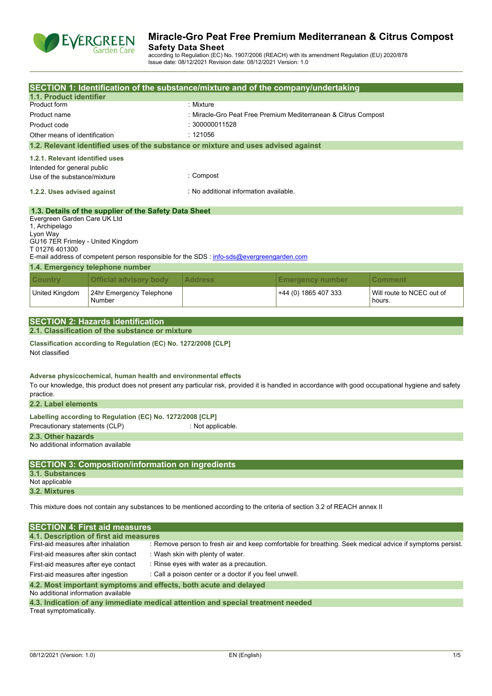

## **Miracle-Gro Peat Free Premium Mediterranean & Citrus Compost Safety Data Sheet**

according to Regulation (EC) No. 1907/2006 (REACH) with its amendment Regulation (EU) 2020/878 Issue date: 08/12/2021 Revision date: 08/12/2021 Version: 1.0

| 1.1. Product identifier                                                                                                 |                                                                                                                                                  | SECTION 1: Identification of the substance/mixture and of the company/undertaking                                                                   |                                                                |                                     |  |
|-------------------------------------------------------------------------------------------------------------------------|--------------------------------------------------------------------------------------------------------------------------------------------------|-----------------------------------------------------------------------------------------------------------------------------------------------------|----------------------------------------------------------------|-------------------------------------|--|
| Product form                                                                                                            |                                                                                                                                                  | : Mixture                                                                                                                                           |                                                                |                                     |  |
| Product name                                                                                                            |                                                                                                                                                  |                                                                                                                                                     | : Miracle-Gro Peat Free Premium Mediterranean & Citrus Compost |                                     |  |
| Product code                                                                                                            |                                                                                                                                                  | : 300000011528                                                                                                                                      |                                                                |                                     |  |
| Other means of identification                                                                                           |                                                                                                                                                  | : 121056                                                                                                                                            |                                                                |                                     |  |
|                                                                                                                         |                                                                                                                                                  | 1.2. Relevant identified uses of the substance or mixture and uses advised against                                                                  |                                                                |                                     |  |
| 1.2.1. Relevant identified uses                                                                                         |                                                                                                                                                  |                                                                                                                                                     |                                                                |                                     |  |
| Intended for general public                                                                                             |                                                                                                                                                  |                                                                                                                                                     |                                                                |                                     |  |
| Use of the substance/mixture                                                                                            |                                                                                                                                                  | : Compost                                                                                                                                           |                                                                |                                     |  |
| 1.2.2. Uses advised against                                                                                             |                                                                                                                                                  | : No additional information available.                                                                                                              |                                                                |                                     |  |
|                                                                                                                         | 1.3. Details of the supplier of the Safety Data Sheet                                                                                            |                                                                                                                                                     |                                                                |                                     |  |
| Evergreen Garden Care UK Ltd<br>1, Archipelago<br>Lyon Way<br>GU16 7ER Frimley - United Kingdom<br>T01276401300         |                                                                                                                                                  | E-mail address of competent person responsible for the SDS : info-sds@evergreengarden.com                                                           |                                                                |                                     |  |
|                                                                                                                         | 1.4. Emergency telephone number                                                                                                                  |                                                                                                                                                     |                                                                |                                     |  |
|                                                                                                                         |                                                                                                                                                  |                                                                                                                                                     |                                                                |                                     |  |
| <b>Country</b>                                                                                                          | <b>Official advisory body</b>                                                                                                                    | <b>Address</b>                                                                                                                                      | <b>Emergency number</b>                                        | <b>Comment</b>                      |  |
| United Kingdom                                                                                                          | 24hr Emergency Telephone<br>Number                                                                                                               |                                                                                                                                                     | +44 (0) 1865 407 333                                           | Will route to NCEC out of<br>hours. |  |
|                                                                                                                         |                                                                                                                                                  |                                                                                                                                                     |                                                                |                                     |  |
|                                                                                                                         | <b>SECTION 2: Hazards identification</b>                                                                                                         |                                                                                                                                                     |                                                                |                                     |  |
|                                                                                                                         | 2.1. Classification of the substance or mixture                                                                                                  |                                                                                                                                                     |                                                                |                                     |  |
| Not classified                                                                                                          | Classification according to Regulation (EC) No. 1272/2008 [CLP]                                                                                  |                                                                                                                                                     |                                                                |                                     |  |
| practice.<br>2.2. Label elements                                                                                        | Adverse physicochemical, human health and environmental effects                                                                                  | To our knowledge, this product does not present any particular risk, provided it is handled in accordance with good occupational hygiene and safety |                                                                |                                     |  |
|                                                                                                                         | Labelling according to Regulation (EC) No. 1272/2008 [CLP]                                                                                       |                                                                                                                                                     |                                                                |                                     |  |
| Precautionary statements (CLP)                                                                                          |                                                                                                                                                  | : Not applicable.                                                                                                                                   |                                                                |                                     |  |
| 2.3. Other hazards                                                                                                      |                                                                                                                                                  |                                                                                                                                                     |                                                                |                                     |  |
| No additional information available                                                                                     |                                                                                                                                                  |                                                                                                                                                     |                                                                |                                     |  |
| 3.1. Substances                                                                                                         | <b>SECTION 3: Composition/information on ingredients</b>                                                                                         |                                                                                                                                                     |                                                                |                                     |  |
| Not applicable                                                                                                          |                                                                                                                                                  |                                                                                                                                                     |                                                                |                                     |  |
| 3.2. Mixtures                                                                                                           |                                                                                                                                                  |                                                                                                                                                     |                                                                |                                     |  |
| This mixture does not contain any substances to be mentioned according to the criteria of section 3.2 of REACH annex II |                                                                                                                                                  |                                                                                                                                                     |                                                                |                                     |  |
|                                                                                                                         | <b>SECTION 4: First aid measures</b>                                                                                                             |                                                                                                                                                     |                                                                |                                     |  |
|                                                                                                                         | 4.1. Description of first aid measures                                                                                                           |                                                                                                                                                     |                                                                |                                     |  |
|                                                                                                                         | First-aid measures after inhalation<br>: Remove person to fresh air and keep comfortable for breathing. Seek medical advice if symptoms persist. |                                                                                                                                                     |                                                                |                                     |  |
| First-aid measures after skin contact<br>: Wash skin with plenty of water.                                              |                                                                                                                                                  |                                                                                                                                                     |                                                                |                                     |  |
| : Rinse eyes with water as a precaution.<br>First-aid measures after eye contact                                        |                                                                                                                                                  |                                                                                                                                                     |                                                                |                                     |  |
|                                                                                                                         | : Call a poison center or a doctor if you feel unwell.<br>First-aid measures after ingestion                                                     |                                                                                                                                                     |                                                                |                                     |  |

#### **4.2. Most important symptoms and effects, both acute and delayed**

No additional information available

| 4.3. Indication of any immediate medical attention and special treatment needed |  |  |  |
|---------------------------------------------------------------------------------|--|--|--|
| Treat symptomatically.                                                          |  |  |  |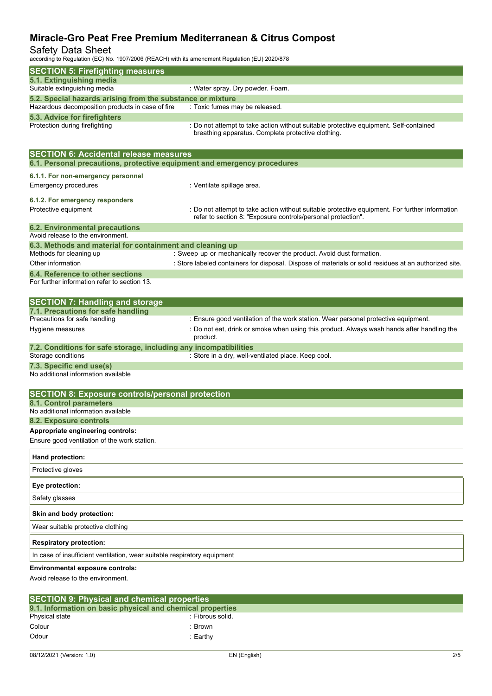## Safety Data Sheet

according to Regulation (EC) No. 1907/2006 (REACH) with its amendment Regulation (EU) 2020/878

| <b>SECTION 5: Firefighting measures</b>                                                 |                                                                                                        |
|-----------------------------------------------------------------------------------------|--------------------------------------------------------------------------------------------------------|
| 5.1. Extinguishing media                                                                |                                                                                                        |
| Suitable extinguishing media                                                            | : Water spray. Dry powder. Foam.                                                                       |
| 5.2. Special hazards arising from the substance or mixture                              |                                                                                                        |
| Hazardous decomposition products in case of fire                                        | : Toxic fumes may be released.                                                                         |
| 5.3. Advice for firefighters<br>Protection during firefighting                          | : Do not attempt to take action without suitable protective equipment. Self-contained                  |
|                                                                                         | breathing apparatus. Complete protective clothing.                                                     |
|                                                                                         |                                                                                                        |
| <b>SECTION 6: Accidental release measures</b>                                           |                                                                                                        |
| 6.1. Personal precautions, protective equipment and emergency procedures                |                                                                                                        |
| 6.1.1. For non-emergency personnel                                                      |                                                                                                        |
| <b>Emergency procedures</b>                                                             | : Ventilate spillage area.                                                                             |
|                                                                                         |                                                                                                        |
| 6.1.2. For emergency responders<br>Protective equipment                                 | : Do not attempt to take action without suitable protective equipment. For further information         |
|                                                                                         | refer to section 8: "Exposure controls/personal protection".                                           |
| <b>6.2. Environmental precautions</b>                                                   |                                                                                                        |
| Avoid release to the environment.                                                       |                                                                                                        |
| 6.3. Methods and material for containment and cleaning up                               |                                                                                                        |
| Methods for cleaning up                                                                 | : Sweep up or mechanically recover the product. Avoid dust formation.                                  |
| Other information                                                                       | : Store labeled containers for disposal. Dispose of materials or solid residues at an authorized site. |
| 6.4. Reference to other sections<br>For further information refer to section 13.        |                                                                                                        |
|                                                                                         |                                                                                                        |
| <b>SECTION 7: Handling and storage</b>                                                  |                                                                                                        |
| 7.1. Precautions for safe handling                                                      |                                                                                                        |
| Precautions for safe handling                                                           | : Ensure good ventilation of the work station. Wear personal protective equipment.                     |
| Hygiene measures                                                                        | : Do not eat, drink or smoke when using this product. Always wash hands after handling the             |
|                                                                                         | product.                                                                                               |
| 7.2. Conditions for safe storage, including any incompatibilities<br>Storage conditions | : Store in a dry, well-ventilated place. Keep cool.                                                    |
| 7.3. Specific end use(s)                                                                |                                                                                                        |
| No additional information available                                                     |                                                                                                        |
|                                                                                         |                                                                                                        |
| <b>SECTION 8: Exposure controls/personal protection</b>                                 |                                                                                                        |
| 8.1. Control parameters                                                                 |                                                                                                        |
| No additional information available                                                     |                                                                                                        |
| 8.2. Exposure controls                                                                  |                                                                                                        |
| Appropriate engineering controls:                                                       |                                                                                                        |
| Ensure good ventilation of the work station.                                            |                                                                                                        |
| Hand protection:                                                                        |                                                                                                        |
| Protective gloves                                                                       |                                                                                                        |
| Eye protection:                                                                         |                                                                                                        |
| Safety glasses                                                                          |                                                                                                        |
| Skin and body protection:                                                               |                                                                                                        |
| Wear suitable protective clothing                                                       |                                                                                                        |
| <b>Respiratory protection:</b>                                                          |                                                                                                        |
| In case of insufficient ventilation, wear suitable respiratory equipment                |                                                                                                        |
| <b>Environmental exposure controls:</b>                                                 |                                                                                                        |
| Avoid release to the environment.                                                       |                                                                                                        |
|                                                                                         |                                                                                                        |

| <b>SECTION 9: Physical and chemical properties</b> |                                                            |  |  |  |
|----------------------------------------------------|------------------------------------------------------------|--|--|--|
|                                                    | 9.1. Information on basic physical and chemical properties |  |  |  |
| Physical state                                     | : Fibrous solid.                                           |  |  |  |
| Colour                                             | : Brown                                                    |  |  |  |
| Odour                                              | :Earthv                                                    |  |  |  |
|                                                    |                                                            |  |  |  |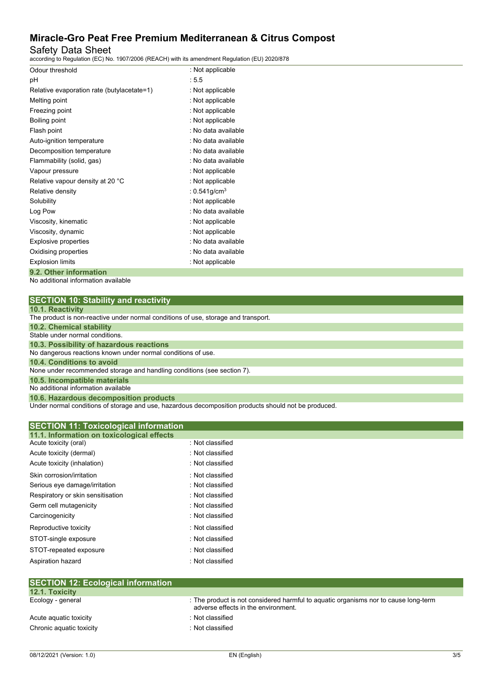### Safety Data Sheet

according to Regulation (EC) No. 1907/2006 (REACH) with its amendment Regulation (EU) 2020/878

| Odour threshold                            | : Not applicable            |
|--------------------------------------------|-----------------------------|
| pH                                         | :5.5                        |
| Relative evaporation rate (butylacetate=1) | : Not applicable            |
| Melting point                              | : Not applicable            |
| Freezing point                             | : Not applicable            |
| Boiling point                              | : Not applicable            |
| Flash point                                | : No data available         |
| Auto-ignition temperature                  | : No data available         |
| Decomposition temperature                  | : No data available         |
| Flammability (solid, gas)                  | : No data available         |
| Vapour pressure                            | : Not applicable            |
| Relative vapour density at 20 °C           | : Not applicable            |
| Relative density                           | : $0.541$ g/cm <sup>3</sup> |
| Solubility                                 | : Not applicable            |
| Log Pow                                    | : No data available         |
| Viscosity, kinematic                       | : Not applicable            |
| Viscosity, dynamic                         | : Not applicable            |
| Explosive properties                       | : No data available         |
| Oxidising properties                       | : No data available         |
| <b>Explosion limits</b>                    | : Not applicable            |
| 9.2. Other information                     |                             |

No additional information available

| <b>SECTION 10: Stability and reactivity</b> |  |  |  |
|---------------------------------------------|--|--|--|
|---------------------------------------------|--|--|--|

| <b>10.1. Reactivity</b> |  |
|-------------------------|--|
|-------------------------|--|

| <b>TV.I.INGUGUTILY</b>                                                             |
|------------------------------------------------------------------------------------|
| The product is non-reactive under normal conditions of use, storage and transport. |
| 10.2. Chemical stability                                                           |
| Stable under normal conditions.                                                    |
| 10.3. Possibility of hazardous reactions                                           |
| No dangerous reactions known under normal conditions of use.                       |
| 10.4. Conditions to avoid                                                          |
| None under recommended storage and handling conditions (see section 7).            |
| 10.5. Incompatible materials                                                       |
| No additional information available                                                |
| 10.6. Hazardous decomposition products                                             |

Under normal conditions of storage and use, hazardous decomposition products should not be produced.

| <b>SECTION 11: Toxicological information</b><br>11.1. Information on toxicological effects |                  |  |
|--------------------------------------------------------------------------------------------|------------------|--|
| Acute toxicity (oral)                                                                      | : Not classified |  |
| Acute toxicity (dermal)                                                                    | : Not classified |  |
| Acute toxicity (inhalation)                                                                | : Not classified |  |
| Skin corrosion/irritation                                                                  | : Not classified |  |
| Serious eye damage/irritation                                                              | : Not classified |  |
| Respiratory or skin sensitisation                                                          | : Not classified |  |
| Germ cell mutagenicity                                                                     | : Not classified |  |
| Carcinogenicity                                                                            | : Not classified |  |
| Reproductive toxicity                                                                      | : Not classified |  |
| STOT-single exposure                                                                       | : Not classified |  |
| STOT-repeated exposure                                                                     | : Not classified |  |
| Aspiration hazard                                                                          | : Not classified |  |

| SEUTION 12: ECOlOGICAL INTORMATION |                                                                                                                            |
|------------------------------------|----------------------------------------------------------------------------------------------------------------------------|
| <b>12.1. Toxicity</b>              |                                                                                                                            |
| Ecology - general                  | : The product is not considered harmful to aquatic organisms nor to cause long-term<br>adverse effects in the environment. |
| Acute aguatic toxicity             | : Not classified                                                                                                           |
| Chronic aquatic toxicity           | : Not classified                                                                                                           |
|                                    |                                                                                                                            |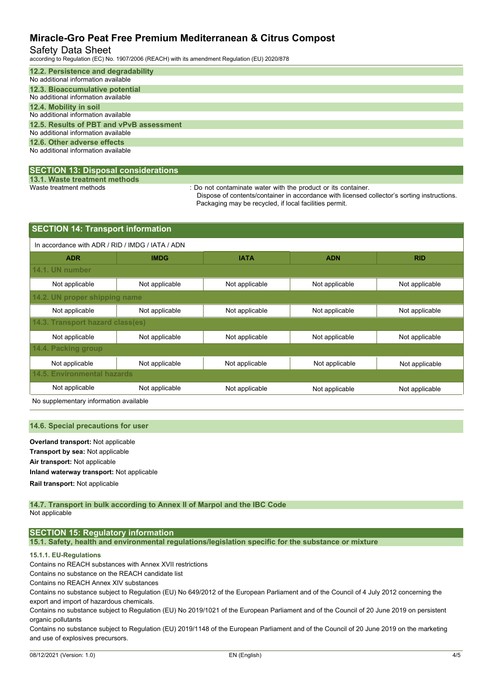### Safety Data Sheet

according to Regulation (EC) No. 1907/2006 (REACH) with its amendment Regulation (EU) 2020/878

| 12.2. Persistence and degradability      |
|------------------------------------------|
| No additional information available      |
| 12.3. Bioaccumulative potential          |
| No additional information available      |
| 12.4. Mobility in soil                   |
| No additional information available      |
| 12.5. Results of PBT and vPvB assessment |
| No additional information available      |
| 12.6. Other adverse effects              |
| No additional information available      |
|                                          |

### **SECTION 13: Disposal considerations**

**13.1. Waste treatment methods**

: Do not contaminate water with the product or its container.

Dispose of contents/container in accordance with licensed collector's sorting instructions. Packaging may be recycled, if local facilities permit.

| <b>SECTION 14: Transport information</b>         |                |                |                |  |  |  |
|--------------------------------------------------|----------------|----------------|----------------|--|--|--|
| In accordance with ADR / RID / IMDG / IATA / ADN |                |                |                |  |  |  |
| <b>IMDG</b>                                      | <b>IATA</b>    | <b>ADN</b>     | <b>RID</b>     |  |  |  |
|                                                  |                |                |                |  |  |  |
| Not applicable                                   | Not applicable | Not applicable | Not applicable |  |  |  |
| 14.2. UN proper shipping name                    |                |                |                |  |  |  |
| Not applicable                                   | Not applicable | Not applicable | Not applicable |  |  |  |
| 14.3. Transport hazard class(es)                 |                |                |                |  |  |  |
| Not applicable                                   | Not applicable | Not applicable | Not applicable |  |  |  |
| 14.4. Packing group                              |                |                |                |  |  |  |
| Not applicable                                   | Not applicable | Not applicable | Not applicable |  |  |  |
| <b>14.5. Environmental hazards</b>               |                |                |                |  |  |  |
| Not applicable                                   | Not applicable | Not applicable | Not applicable |  |  |  |
|                                                  |                |                |                |  |  |  |

No supplementary information available

#### **14.6. Special precautions for user**

**Overland transport:** Not applicable **Transport by sea:** Not applicable **Air transport:** Not applicable **Inland waterway transport:** Not applicable **Rail.transport:** Not applicable

#### **14.7. Transport in bulk according to Annex II of Marpol and the IBC Code** Not applicable

### **SECTION 15: Regulatory information**

**15.1. Safety, health and environmental regulations/legislation specific for the substance or mixture**

### **15.1.1. EU-Regulations**

Contains no REACH substances with Annex XVII restrictions

Contains no substance on the REACH candidate list

Contains no REACH Annex XIV substances

Contains no substance subject to Regulation (EU) No 649/2012 of the European Parliament and of the Council of 4 July 2012 concerning the export and import of hazardous chemicals.

Contains no substance subject to Regulation (EU) No 2019/1021 of the European Parliament and of the Council of 20 June 2019 on persistent organic pollutants

Contains no substance subject to Regulation (EU) 2019/1148 of the European Parliament and of the Council of 20 June 2019 on the marketing and use of explosives precursors.